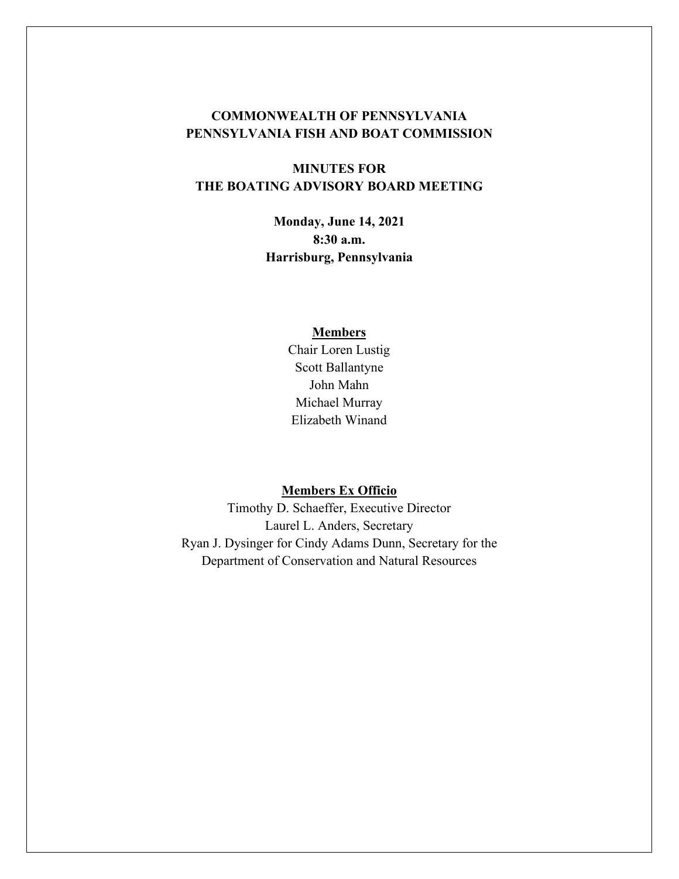### **COMMONWEALTH OF PENNSYLVANIA PENNSYLVANIA FISH AND BOAT COMMISSION**

# **MINUTES FOR THE BOATING ADVISORY BOARD MEETING**

**Monday, June 14, 2021 8:30 a.m. Harrisburg, Pennsylvania** 

#### **Members**

Chair Loren Lustig Scott Ballantyne John Mahn Michael Murray Elizabeth Winand

### **Members Ex Officio**

Timothy D. Schaeffer, Executive Director Laurel L. Anders, Secretary Ryan J. Dysinger for Cindy Adams Dunn, Secretary for the Department of Conservation and Natural Resources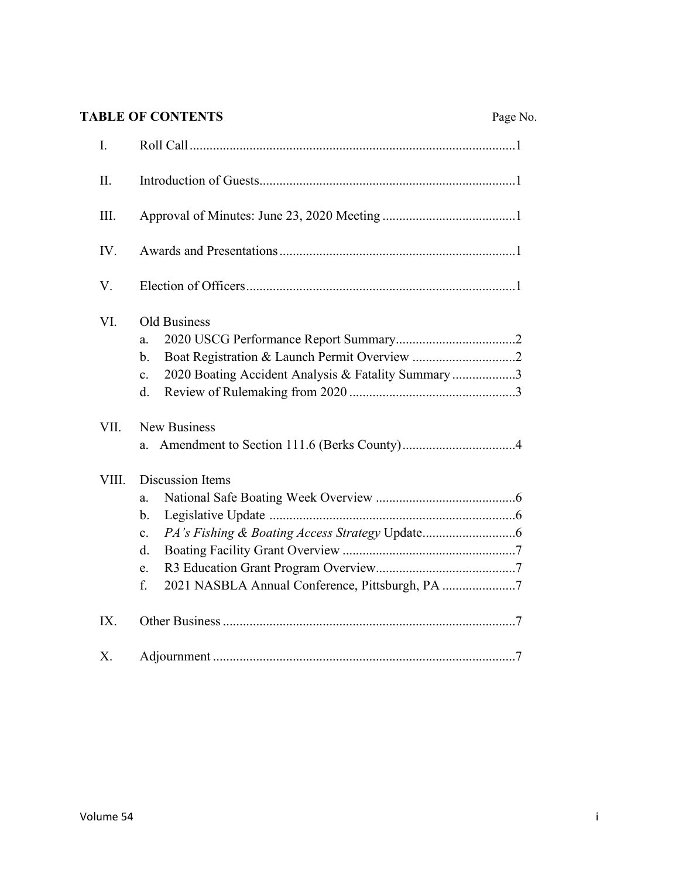# **TABLE OF CONTENTS** Page

|--|

| I.    |                                                                                                                     |
|-------|---------------------------------------------------------------------------------------------------------------------|
| II.   |                                                                                                                     |
| III.  |                                                                                                                     |
| IV.   |                                                                                                                     |
| V.    |                                                                                                                     |
| VI.   | Old Business<br>a.<br>b.<br>2020 Boating Accident Analysis & Fatality Summary 3<br>$\mathbf{c}$ .<br>d.             |
| VII.  | <b>New Business</b><br>a.                                                                                           |
| VIII. | Discussion Items<br>a.<br>b.<br>$\mathbf{c}$ .<br>d.<br>e.<br>2021 NASBLA Annual Conference, Pittsburgh, PA 7<br>f. |
| IX.   |                                                                                                                     |
| X.    |                                                                                                                     |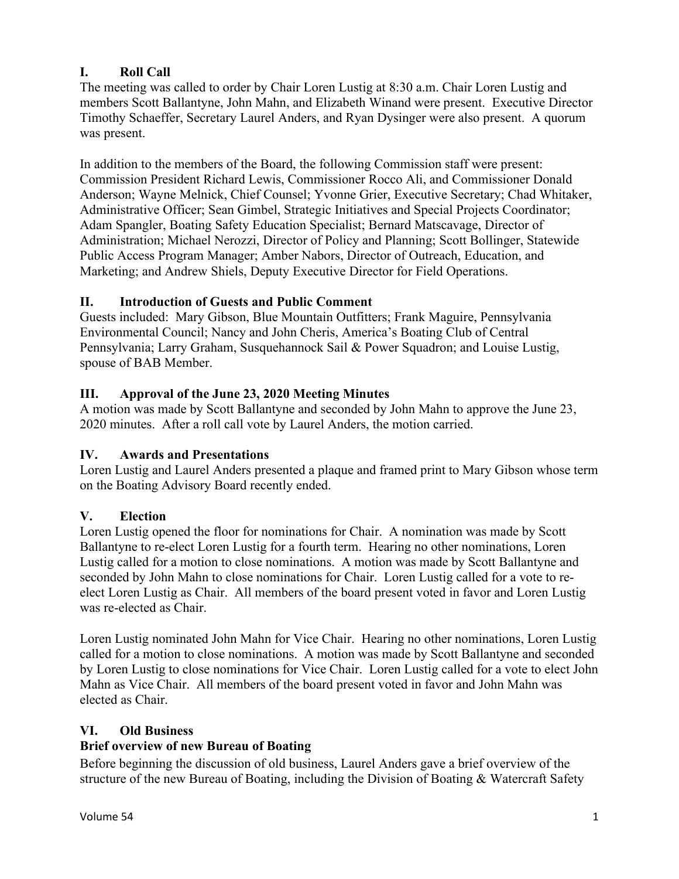# **I. Roll Call**

The meeting was called to order by Chair Loren Lustig at 8:30 a.m. Chair Loren Lustig and members Scott Ballantyne, John Mahn, and Elizabeth Winand were present. Executive Director Timothy Schaeffer, Secretary Laurel Anders, and Ryan Dysinger were also present. A quorum was present.

In addition to the members of the Board, the following Commission staff were present: Commission President Richard Lewis, Commissioner Rocco Ali, and Commissioner Donald Anderson; Wayne Melnick, Chief Counsel; Yvonne Grier, Executive Secretary; Chad Whitaker, Administrative Officer; Sean Gimbel, Strategic Initiatives and Special Projects Coordinator; Adam Spangler, Boating Safety Education Specialist; Bernard Matscavage, Director of Administration; Michael Nerozzi, Director of Policy and Planning; Scott Bollinger, Statewide Public Access Program Manager; Amber Nabors, Director of Outreach, Education, and Marketing; and Andrew Shiels, Deputy Executive Director for Field Operations.

# **II. Introduction of Guests and Public Comment**

Guests included: Mary Gibson, Blue Mountain Outfitters; Frank Maguire, Pennsylvania Environmental Council; Nancy and John Cheris, America's Boating Club of Central Pennsylvania; Larry Graham, Susquehannock Sail & Power Squadron; and Louise Lustig, spouse of BAB Member.

### **III. Approval of the June 23, 2020 Meeting Minutes**

A motion was made by Scott Ballantyne and seconded by John Mahn to approve the June 23, 2020 minutes. After a roll call vote by Laurel Anders, the motion carried.

### **IV. Awards and Presentations**

Loren Lustig and Laurel Anders presented a plaque and framed print to Mary Gibson whose term on the Boating Advisory Board recently ended.

### **V. Election**

Loren Lustig opened the floor for nominations for Chair. A nomination was made by Scott Ballantyne to re-elect Loren Lustig for a fourth term. Hearing no other nominations, Loren Lustig called for a motion to close nominations. A motion was made by Scott Ballantyne and seconded by John Mahn to close nominations for Chair. Loren Lustig called for a vote to reelect Loren Lustig as Chair. All members of the board present voted in favor and Loren Lustig was re-elected as Chair.

Loren Lustig nominated John Mahn for Vice Chair. Hearing no other nominations, Loren Lustig called for a motion to close nominations. A motion was made by Scott Ballantyne and seconded by Loren Lustig to close nominations for Vice Chair. Loren Lustig called for a vote to elect John Mahn as Vice Chair. All members of the board present voted in favor and John Mahn was elected as Chair.

### **VI. Old Business**

### **Brief overview of new Bureau of Boating**

Before beginning the discussion of old business, Laurel Anders gave a brief overview of the structure of the new Bureau of Boating, including the Division of Boating & Watercraft Safety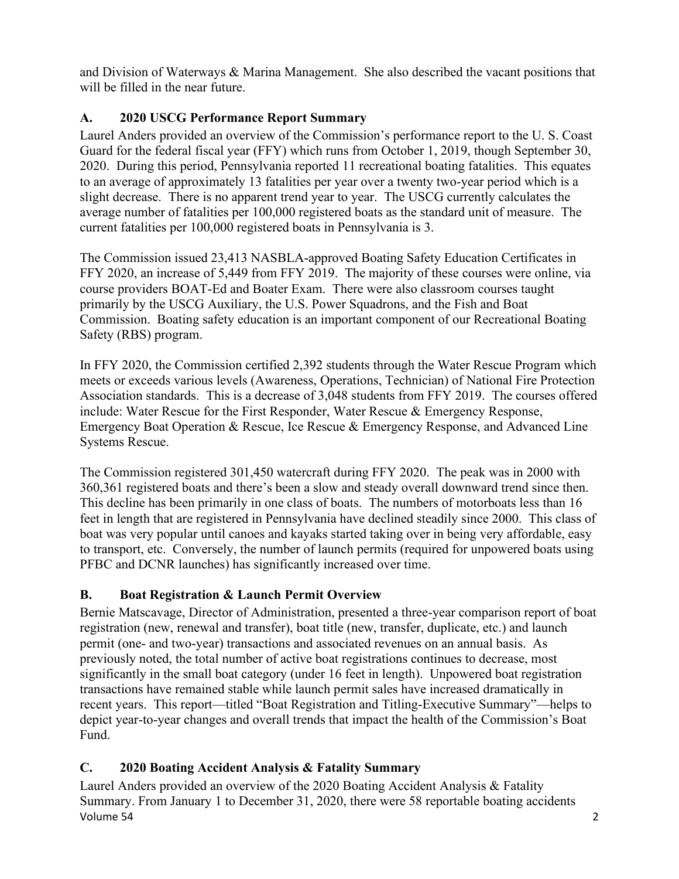and Division of Waterways & Marina Management. She also described the vacant positions that will be filled in the near future.

# **A. 2020 USCG Performance Report Summary**

Laurel Anders provided an overview of the Commission's performance report to the U. S. Coast Guard for the federal fiscal year (FFY) which runs from October 1, 2019, though September 30, 2020. During this period, Pennsylvania reported 11 recreational boating fatalities. This equates to an average of approximately 13 fatalities per year over a twenty two-year period which is a slight decrease. There is no apparent trend year to year. The USCG currently calculates the average number of fatalities per 100,000 registered boats as the standard unit of measure. The current fatalities per 100,000 registered boats in Pennsylvania is 3.

The Commission issued 23,413 NASBLA-approved Boating Safety Education Certificates in FFY 2020, an increase of 5,449 from FFY 2019. The majority of these courses were online, via course providers BOAT-Ed and Boater Exam. There were also classroom courses taught primarily by the USCG Auxiliary, the U.S. Power Squadrons, and the Fish and Boat Commission. Boating safety education is an important component of our Recreational Boating Safety (RBS) program.

In FFY 2020, the Commission certified 2,392 students through the Water Rescue Program which meets or exceeds various levels (Awareness, Operations, Technician) of National Fire Protection Association standards. This is a decrease of 3,048 students from FFY 2019. The courses offered include: Water Rescue for the First Responder, Water Rescue & Emergency Response, Emergency Boat Operation & Rescue, Ice Rescue & Emergency Response, and Advanced Line Systems Rescue.

The Commission registered 301,450 watercraft during FFY 2020. The peak was in 2000 with 360,361 registered boats and there's been a slow and steady overall downward trend since then. This decline has been primarily in one class of boats. The numbers of motorboats less than 16 feet in length that are registered in Pennsylvania have declined steadily since 2000. This class of boat was very popular until canoes and kayaks started taking over in being very affordable, easy to transport, etc. Conversely, the number of launch permits (required for unpowered boats using PFBC and DCNR launches) has significantly increased over time.

# **B. Boat Registration & Launch Permit Overview**

Bernie Matscavage, Director of Administration, presented a three-year comparison report of boat registration (new, renewal and transfer), boat title (new, transfer, duplicate, etc.) and launch permit (one- and two-year) transactions and associated revenues on an annual basis. As previously noted, the total number of active boat registrations continues to decrease, most significantly in the small boat category (under 16 feet in length). Unpowered boat registration transactions have remained stable while launch permit sales have increased dramatically in recent years. This report—titled "Boat Registration and Titling-Executive Summary"—helps to depict year-to-year changes and overall trends that impact the health of the Commission's Boat Fund.

# **C. 2020 Boating Accident Analysis & Fatality Summary**

Volume 54 2 Laurel Anders provided an overview of the 2020 Boating Accident Analysis & Fatality Summary. From January 1 to December 31, 2020, there were 58 reportable boating accidents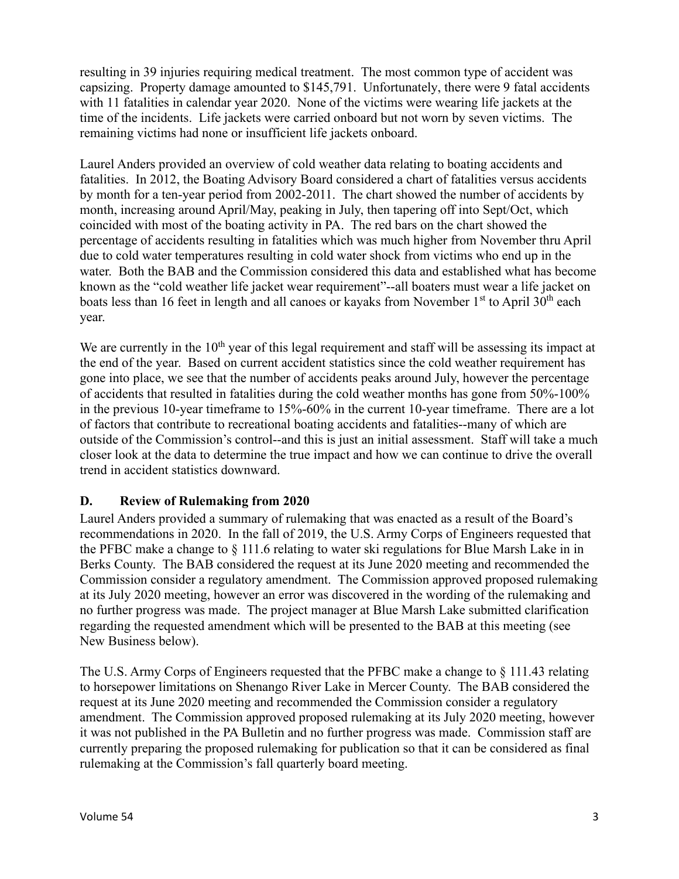resulting in 39 injuries requiring medical treatment. The most common type of accident was capsizing. Property damage amounted to \$145,791. Unfortunately, there were 9 fatal accidents with 11 fatalities in calendar year 2020. None of the victims were wearing life jackets at the time of the incidents. Life jackets were carried onboard but not worn by seven victims. The remaining victims had none or insufficient life jackets onboard.

Laurel Anders provided an overview of cold weather data relating to boating accidents and fatalities. In 2012, the Boating Advisory Board considered a chart of fatalities versus accidents by month for a ten-year period from 2002-2011. The chart showed the number of accidents by month, increasing around April/May, peaking in July, then tapering off into Sept/Oct, which coincided with most of the boating activity in PA. The red bars on the chart showed the percentage of accidents resulting in fatalities which was much higher from November thru April due to cold water temperatures resulting in cold water shock from victims who end up in the water. Both the BAB and the Commission considered this data and established what has become known as the "cold weather life jacket wear requirement"--all boaters must wear a life jacket on boats less than 16 feet in length and all canoes or kayaks from November  $1<sup>st</sup>$  to April  $30<sup>th</sup>$  each year.

We are currently in the  $10<sup>th</sup>$  year of this legal requirement and staff will be assessing its impact at the end of the year. Based on current accident statistics since the cold weather requirement has gone into place, we see that the number of accidents peaks around July, however the percentage of accidents that resulted in fatalities during the cold weather months has gone from 50%-100% in the previous 10-year timeframe to 15%-60% in the current 10-year timeframe. There are a lot of factors that contribute to recreational boating accidents and fatalities--many of which are outside of the Commission's control--and this is just an initial assessment. Staff will take a much closer look at the data to determine the true impact and how we can continue to drive the overall trend in accident statistics downward.

### **D. Review of Rulemaking from 2020**

Laurel Anders provided a summary of rulemaking that was enacted as a result of the Board's recommendations in 2020. In the fall of 2019, the U.S. Army Corps of Engineers requested that the PFBC make a change to § 111.6 relating to water ski regulations for Blue Marsh Lake in in Berks County. The BAB considered the request at its June 2020 meeting and recommended the Commission consider a regulatory amendment. The Commission approved proposed rulemaking at its July 2020 meeting, however an error was discovered in the wording of the rulemaking and no further progress was made. The project manager at Blue Marsh Lake submitted clarification regarding the requested amendment which will be presented to the BAB at this meeting (see New Business below).

The U.S. Army Corps of Engineers requested that the PFBC make a change to § 111.43 relating to horsepower limitations on Shenango River Lake in Mercer County. The BAB considered the request at its June 2020 meeting and recommended the Commission consider a regulatory amendment. The Commission approved proposed rulemaking at its July 2020 meeting, however it was not published in the PA Bulletin and no further progress was made. Commission staff are currently preparing the proposed rulemaking for publication so that it can be considered as final rulemaking at the Commission's fall quarterly board meeting.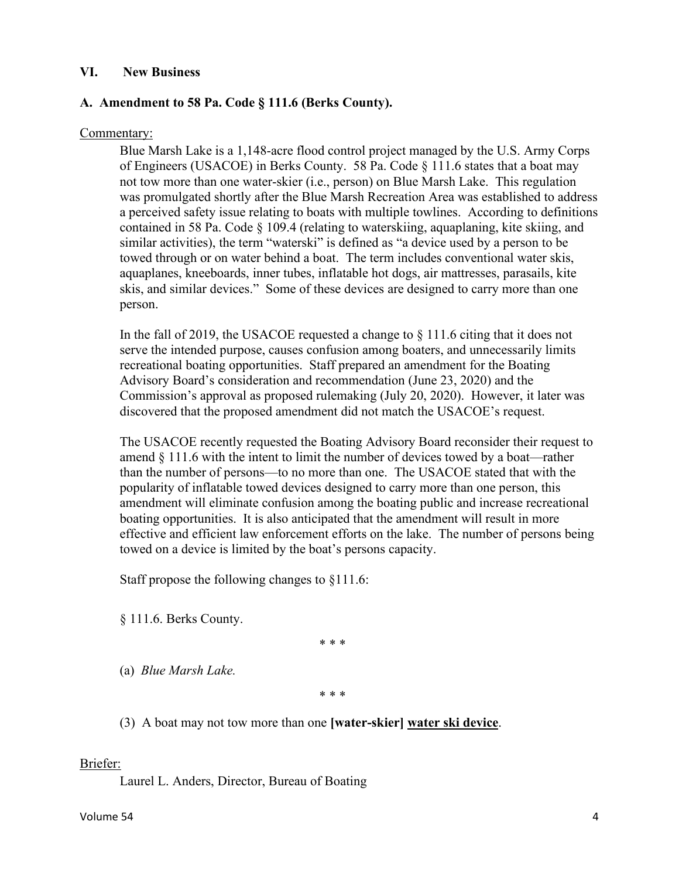#### **VI. New Business**

#### **A. Amendment to 58 Pa. Code § 111.6 (Berks County).**

#### Commentary:

Blue Marsh Lake is a 1,148-acre flood control project managed by the U.S. Army Corps of Engineers (USACOE) in Berks County. 58 Pa. Code § 111.6 states that a boat may not tow more than one water-skier (i.e., person) on Blue Marsh Lake. This regulation was promulgated shortly after the Blue Marsh Recreation Area was established to address a perceived safety issue relating to boats with multiple towlines. According to definitions contained in 58 Pa. Code § 109.4 (relating to waterskiing, aquaplaning, kite skiing, and similar activities), the term "waterski" is defined as "a device used by a person to be towed through or on water behind a boat. The term includes conventional water skis, aquaplanes, kneeboards, inner tubes, inflatable hot dogs, air mattresses, parasails, kite skis, and similar devices." Some of these devices are designed to carry more than one person.

In the fall of 2019, the USACOE requested a change to  $\S$  111.6 citing that it does not serve the intended purpose, causes confusion among boaters, and unnecessarily limits recreational boating opportunities. Staff prepared an amendment for the Boating Advisory Board's consideration and recommendation (June 23, 2020) and the Commission's approval as proposed rulemaking (July 20, 2020). However, it later was discovered that the proposed amendment did not match the USACOE's request.

The USACOE recently requested the Boating Advisory Board reconsider their request to amend § 111.6 with the intent to limit the number of devices towed by a boat—rather than the number of persons—to no more than one. The USACOE stated that with the popularity of inflatable towed devices designed to carry more than one person, this amendment will eliminate confusion among the boating public and increase recreational boating opportunities. It is also anticipated that the amendment will result in more effective and efficient law enforcement efforts on the lake. The number of persons being towed on a device is limited by the boat's persons capacity.

Staff propose the following changes to §111.6:

§ 111.6. Berks County.

\* \* \*

(a) *Blue Marsh Lake.*

\* \* \*

(3) A boat may not tow more than one **[water-skier] water ski device**.

#### Briefer:

Laurel L. Anders, Director, Bureau of Boating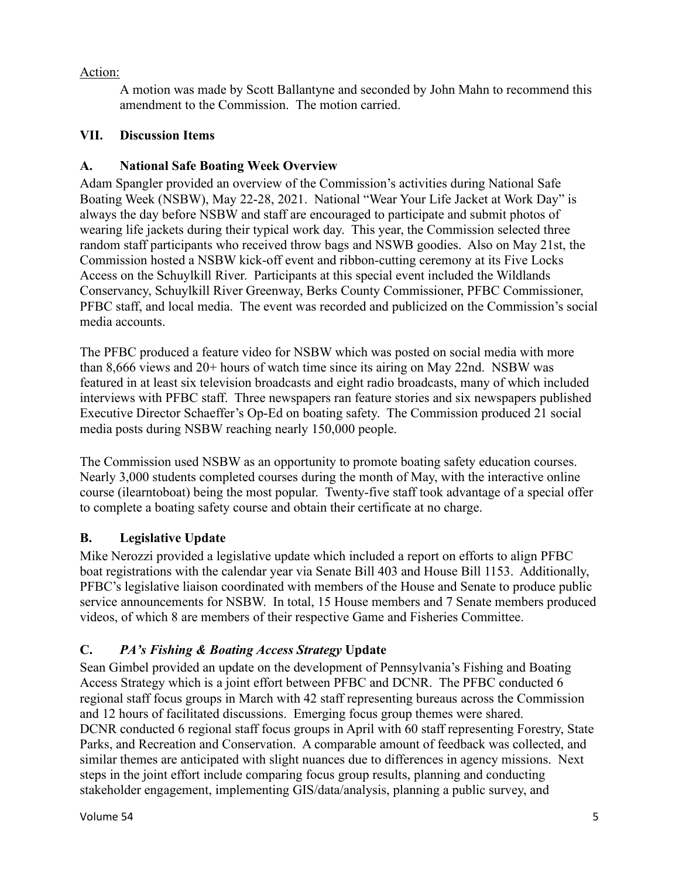### Action:

A motion was made by Scott Ballantyne and seconded by John Mahn to recommend this amendment to the Commission. The motion carried.

### **VII. Discussion Items**

### **A. National Safe Boating Week Overview**

Adam Spangler provided an overview of the Commission's activities during National Safe Boating Week (NSBW), May 22-28, 2021. National "Wear Your Life Jacket at Work Day" is always the day before NSBW and staff are encouraged to participate and submit photos of wearing life jackets during their typical work day. This year, the Commission selected three random staff participants who received throw bags and NSWB goodies. Also on May 21st, the Commission hosted a NSBW kick-off event and ribbon-cutting ceremony at its Five Locks Access on the Schuylkill River. Participants at this special event included the Wildlands Conservancy, Schuylkill River Greenway, Berks County Commissioner, PFBC Commissioner, PFBC staff, and local media. The event was recorded and publicized on the Commission's social media accounts.

The PFBC produced a feature video for NSBW which was posted on social media with more than 8,666 views and 20+ hours of watch time since its airing on May 22nd. NSBW was featured in at least six television broadcasts and eight radio broadcasts, many of which included interviews with PFBC staff. Three newspapers ran feature stories and six newspapers published Executive Director Schaeffer's Op-Ed on boating safety. The Commission produced 21 social media posts during NSBW reaching nearly 150,000 people.

The Commission used NSBW as an opportunity to promote boating safety education courses. Nearly 3,000 students completed courses during the month of May, with the interactive online course (ilearntoboat) being the most popular. Twenty-five staff took advantage of a special offer to complete a boating safety course and obtain their certificate at no charge.

# **B. Legislative Update**

Mike Nerozzi provided a legislative update which included a report on efforts to align PFBC boat registrations with the calendar year via Senate Bill 403 and House Bill 1153. Additionally, PFBC's legislative liaison coordinated with members of the House and Senate to produce public service announcements for NSBW. In total, 15 House members and 7 Senate members produced videos, of which 8 are members of their respective Game and Fisheries Committee.

# **C.** *PA's Fishing & Boating Access Strategy* **Update**

Sean Gimbel provided an update on the development of Pennsylvania's Fishing and Boating Access Strategy which is a joint effort between PFBC and DCNR. The PFBC conducted 6 regional staff focus groups in March with 42 staff representing bureaus across the Commission and 12 hours of facilitated discussions. Emerging focus group themes were shared. DCNR conducted 6 regional staff focus groups in April with 60 staff representing Forestry, State Parks, and Recreation and Conservation. A comparable amount of feedback was collected, and similar themes are anticipated with slight nuances due to differences in agency missions. Next steps in the joint effort include comparing focus group results, planning and conducting stakeholder engagement, implementing GIS/data/analysis, planning a public survey, and